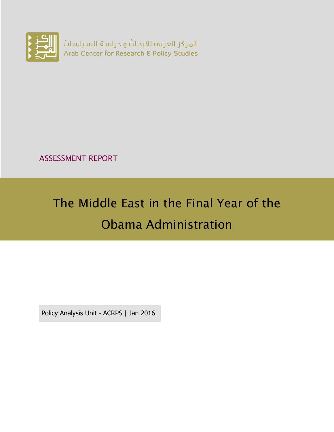

ASSESSMENT REPORT

# The Middle East in the Final Year of the Obama Administration

Policy Analysis Unit - ACRPS | Jan 2016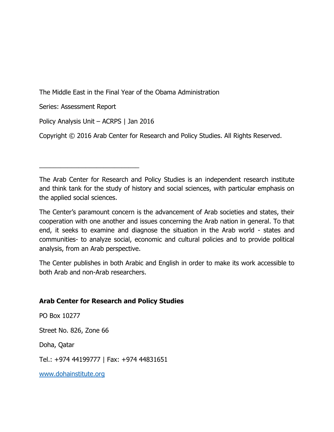The Middle East in the Final Year of the Obama Administration

Series: Assessment Report

Policy Analysis Unit – ACRPS | Jan 2016

\_\_\_\_\_\_\_\_\_\_\_\_\_\_\_\_\_\_\_\_\_\_\_\_\_\_\_\_

Copyright © 2016 Arab Center for Research and Policy Studies. All Rights Reserved.

The Arab Center for Research and Policy Studies is an independent research institute and think tank for the study of history and social sciences, with particular emphasis on the applied social sciences.

The Center's paramount concern is the advancement of Arab societies and states, their cooperation with one another and issues concerning the Arab nation in general. To that end, it seeks to examine and diagnose the situation in the Arab world - states and communities- to analyze social, economic and cultural policies and to provide political analysis, from an Arab perspective.

The Center publishes in both Arabic and English in order to make its work accessible to both Arab and non-Arab researchers.

#### **Arab Center for Research and Policy Studies**

PO Box 10277

Street No. 826, Zone 66

Doha, Qatar

Tel.: +974 44199777 | Fax: +974 44831651

[www.dohainstitute.org](file:///C:/Users/dena.qaddumi/Desktop/www.dohainstitute.org)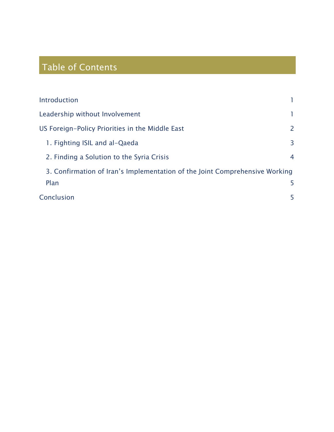# Table of Contents

| Introduction                                                                |                       |
|-----------------------------------------------------------------------------|-----------------------|
| Leadership without Involvement                                              |                       |
| US Foreign-Policy Priorities in the Middle East                             | $\mathbf{2}^{\prime}$ |
| 1. Fighting ISIL and al-Qaeda                                               | 3                     |
| 2. Finding a Solution to the Syria Crisis                                   | 4                     |
| 3. Confirmation of Iran's Implementation of the Joint Comprehensive Working |                       |
| Plan                                                                        | 5.                    |
| Conclusion                                                                  | 5.                    |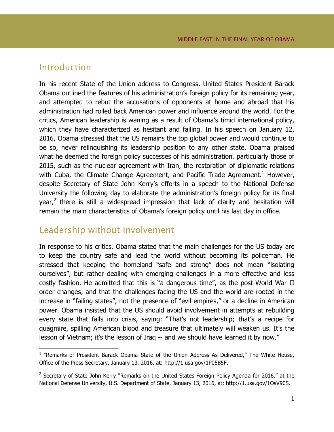#### <span id="page-4-0"></span>Introduction

 $\overline{a}$ 

In his recent State of the Union address to Congress, United States President Barack Obama outlined the features of his administration's foreign policy for its remaining year, and attempted to rebut the accusations of opponents at home and abroad that his administration had rolled back American power and influence around the world. For the critics, American leadership is waning as a result of Obama's timid international policy, which they have characterized as hesitant and failing. In his speech on January 12, 2016, Obama stressed that the US remains the top global power and would continue to be so, never relinquishing its leadership position to any other state. Obama praised what he deemed the foreign policy successes of his administration, particularly those of 2015, such as the nuclear agreement with Iran, the restoration of diplomatic relations with Cuba, the Climate Change Agreement, and Pacific Trade Agreement.<sup>1</sup> However, despite Secretary of State John Kerry's efforts in a speech to the National Defense University the following day to elaborate the administration's foreign policy for its final year,<sup>2</sup> there is still a widespread impression that lack of clarity and hesitation will remain the main characteristics of Obama's foreign policy until his last day in office.

### <span id="page-4-1"></span>Leadership without Involvement

In response to his critics, Obama stated that the main challenges for the US today are to keep the country safe and lead the world without becoming its policeman. He stressed that keeping the homeland "safe and strong" does not mean "isolating ourselves", but rather dealing with emerging challenges in a more effective and less costly fashion. He admitted that this is "a dangerous time", as the post-World War II order changes, and that the challenges facing the US and the world are rooted in the increase in "failing states", not the presence of "evil empires," or a decline in American power. Obama insisted that the US should avoid involvement in attempts at rebuilding every state that falls into crisis, saying: "That's not leadership; that's a recipe for quagmire, spilling American blood and treasure that ultimately will weaken us. It's the lesson of Vietnam; it's the lesson of Iraq -- and we should have learned it by now."

<sup>&</sup>lt;sup>1</sup> "Remarks of President Barack Obama–State of the Union Address As Delivered," The White House, Office of the Press Secretary, January 13, 2016, at: http://1.usa.gov/1P05B5F.

 $2$  Secretary of State John Kerry "Remarks on the United States Foreign Policy Agenda for 2016," at the National Defense University, U.S. Department of State, January 13, 2016, at: http://1.usa.gov/1OsV90S.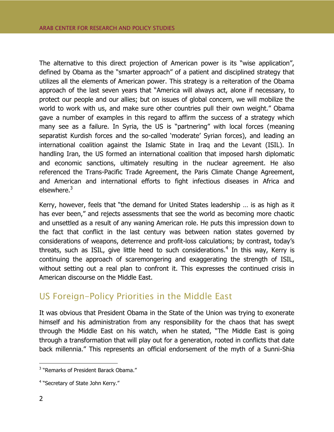The alternative to this direct projection of American power is its "wise application", defined by Obama as the "smarter approach" of a patient and disciplined strategy that utilizes all the elements of American power. This strategy is a reiteration of the Obama approach of the last seven years that "America will always act, alone if necessary, to protect our people and our allies; but on issues of global concern, we will mobilize the world to work with us, and make sure other countries pull their own weight." Obama gave a number of examples in this regard to affirm the success of a strategy which many see as a failure. In Syria, the US is "partnering" with local forces (meaning separatist Kurdish forces and the so-called 'moderate' Syrian forces), and leading an international coalition against the Islamic State in Iraq and the Levant (ISIL). In handling Iran, the US formed an international coalition that imposed harsh diplomatic and economic sanctions, ultimately resulting in the nuclear agreement. He also referenced the Trans-Pacific Trade Agreement, the Paris Climate Change Agreement, and American and international efforts to fight infectious diseases in Africa and elsewhere.<sup>3</sup>

Kerry, however, feels that "the demand for United States leadership … is as high as it has ever been," and rejects assessments that see the world as becoming more chaotic and unsettled as a result of any waning American role. He puts this impression down to the fact that conflict in the last century was between nation states governed by considerations of weapons, deterrence and profit-loss calculations; by contrast, today's threats, such as ISIL, give little heed to such considerations.<sup>4</sup> In this way, Kerry is continuing the approach of scaremongering and exaggerating the strength of ISIL, without setting out a real plan to confront it. This expresses the continued crisis in American discourse on the Middle East.

## <span id="page-5-0"></span>US Foreign-Policy Priorities in the Middle East

It was obvious that President Obama in the State of the Union was trying to exonerate himself and his administration from any responsibility for the chaos that has swept through the Middle East on his watch, when he stated, "The Middle East is going through a transformation that will play out for a generation, rooted in conflicts that date back millennia." This represents an official endorsement of the myth of a Sunni-Shia

 3 "Remarks of President Barack Obama."

<sup>&</sup>lt;sup>4</sup> "Secretary of State John Kerry."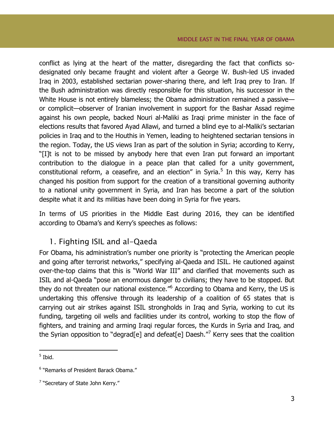conflict as lying at the heart of the matter, disregarding the fact that conflicts sodesignated only became fraught and violent after a George W. Bush-led US invaded Iraq in 2003, established sectarian power-sharing there, and left Iraq prey to Iran. If the Bush administration was directly responsible for this situation, his successor in the White House is not entirely blameless; the Obama administration remained a passive or complicit—observer of Iranian involvement in support for the Bashar Assad regime against his own people, backed Nouri al-Maliki as Iraqi prime minister in the face of elections results that favored Ayad Allawi, and turned a blind eye to al-Maliki's sectarian policies in Iraq and to the Houthis in Yemen, leading to heightened sectarian tensions in the region. Today, the US views Iran as part of the solution in Syria; according to Kerry, "[I]t is not to be missed by anybody here that even Iran put forward an important contribution to the dialogue in a peace plan that called for a unity government, constitutional reform, a ceasefire, and an election" in Syria.<sup>5</sup> In this way, Kerry has changed his position from support for the creation of a transitional governing authority to a national unity government in Syria, and Iran has become a part of the solution despite what it and its militias have been doing in Syria for five years.

In terms of US priorities in the Middle East during 2016, they can be identified according to Obama's and Kerry's speeches as follows:

#### <span id="page-6-0"></span>1. Fighting ISIL and al-Qaeda

For Obama, his administration's number one priority is "protecting the American people and going after terrorist networks," specifying al-Qaeda and ISIL. He cautioned against over-the-top claims that this is "World War III" and clarified that movements such as ISIL and al-Qaeda "pose an enormous danger to civilians; they have to be stopped. But they do not threaten our national existence."<sup>6</sup> According to Obama and Kerry, the US is undertaking this offensive through its leadership of a coalition of 65 states that is carrying out air strikes against ISIL strongholds in Iraq and Syria, working to cut its funding, targeting oil wells and facilities under its control, working to stop the flow of fighters, and training and arming Iraqi regular forces, the Kurds in Syria and Iraq, and the Syrian opposition to "degrad[e] and defeat[e] Daesh."<sup>7</sup> Kerry sees that the coalition

<sup>5</sup> Ibid.

 $\overline{a}$ 

<sup>6</sup> "Remarks of President Barack Obama."

<sup>&</sup>lt;sup>7</sup> "Secretary of State John Kerry."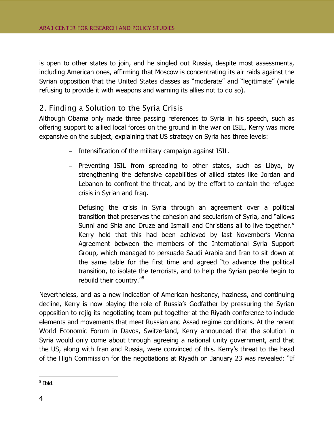is open to other states to join, and he singled out Russia, despite most assessments, including American ones, affirming that Moscow is concentrating its air raids against the Syrian opposition that the United States classes as "moderate" and "legitimate" (while refusing to provide it with weapons and warning its allies not to do so).

#### <span id="page-7-0"></span>2. Finding a Solution to the Syria Crisis

Although Obama only made three passing references to Syria in his speech, such as offering support to allied local forces on the ground in the war on ISIL, Kerry was more expansive on the subject, explaining that US strategy on Syria has three levels:

- $-$  Intensification of the military campaign against ISIL.
- Preventing ISIL from spreading to other states, such as Libya, by strengthening the defensive capabilities of allied states like Jordan and Lebanon to confront the threat, and by the effort to contain the refugee crisis in Syrian and Iraq.
- Defusing the crisis in Syria through an agreement over a political transition that preserves the cohesion and secularism of Syria, and "allows Sunni and Shia and Druze and Ismaili and Christians all to live together." Kerry held that this had been achieved by last November's Vienna Agreement between the members of the International Syria Support Group, which managed to persuade Saudi Arabia and Iran to sit down at the same table for the first time and agreed "to advance the political transition, to isolate the terrorists, and to help the Syrian people begin to rebuild their country."<sup>8</sup>

Nevertheless, and as a new indication of American hesitancy, haziness, and continuing decline, Kerry is now playing the role of Russia's Godfather by pressuring the Syrian opposition to rejig its negotiating team put together at the Riyadh conference to include elements and movements that meet Russian and Assad regime conditions. At the recent World Economic Forum in Davos, Switzerland, Kerry announced that the solution in Syria would only come about through agreeing a national unity government, and that the US, along with Iran and Russia, were convinced of this. Kerry's threat to the head of the High Commission for the negotiations at Riyadh on January 23 was revealed: "If

 $\overline{a}$ 

<sup>8</sup> Ibid.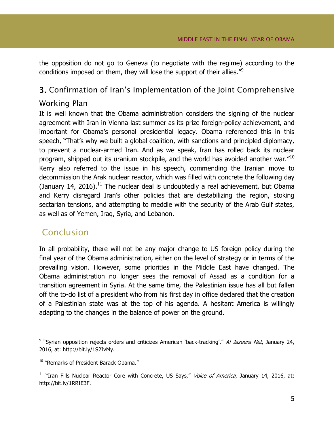the opposition do not go to Geneva (to negotiate with the regime) according to the conditions imposed on them, they will lose the support of their allies."<sup>9</sup>

#### <span id="page-8-0"></span>3. Confirmation of Iran's Implementation of the Joint Comprehensive

#### Working Plan

It is well known that the Obama administration considers the signing of the nuclear agreement with Iran in Vienna last summer as its prize foreign-policy achievement, and important for Obama's personal presidential legacy. Obama referenced this in this speech, "That's why we built a global coalition, with sanctions and principled diplomacy, to prevent a nuclear-armed Iran. And as we speak, Iran has rolled back its nuclear program, shipped out its uranium stockpile, and the world has avoided another war."<sup>10</sup> Kerry also referred to the issue in his speech, commending the Iranian move to decommission the Arak nuclear reactor, which was filled with concrete the following day (January 14, 2016).<sup>11</sup> The nuclear deal is undoubtedly a real achievement, but Obama and Kerry disregard Iran's other policies that are destabilizing the region, stoking sectarian tensions, and attempting to meddle with the security of the Arab Gulf states, as well as of Yemen, Iraq, Syria, and Lebanon.

# <span id="page-8-1"></span>Conclusion

 $\overline{a}$ 

In all probability, there will not be any major change to US foreign policy during the final year of the Obama administration, either on the level of strategy or in terms of the prevailing vision. However, some priorities in the Middle East have changed. The Obama administration no longer sees the removal of Assad as a condition for a transition agreement in Syria. At the same time, the Palestinian issue has all but fallen off the to-do list of a president who from his first day in office declared that the creation of a Palestinian state was at the top of his agenda. A hesitant America is willingly adapting to the changes in the balance of power on the ground.

<sup>&</sup>lt;sup>9</sup> "Syrian opposition rejects orders and criticizes American 'back-tracking'," Al Jazeera Net, January 24, 2016, at: http://bit.ly/1S2IvMy.

<sup>&</sup>lt;sup>10</sup> "Remarks of President Barack Obama."

 $11$  "Iran Fills Nuclear Reactor Core with Concrete, US Says," Voice of America, January 14, 2016, at: http://bit.ly/1RRIE3F.